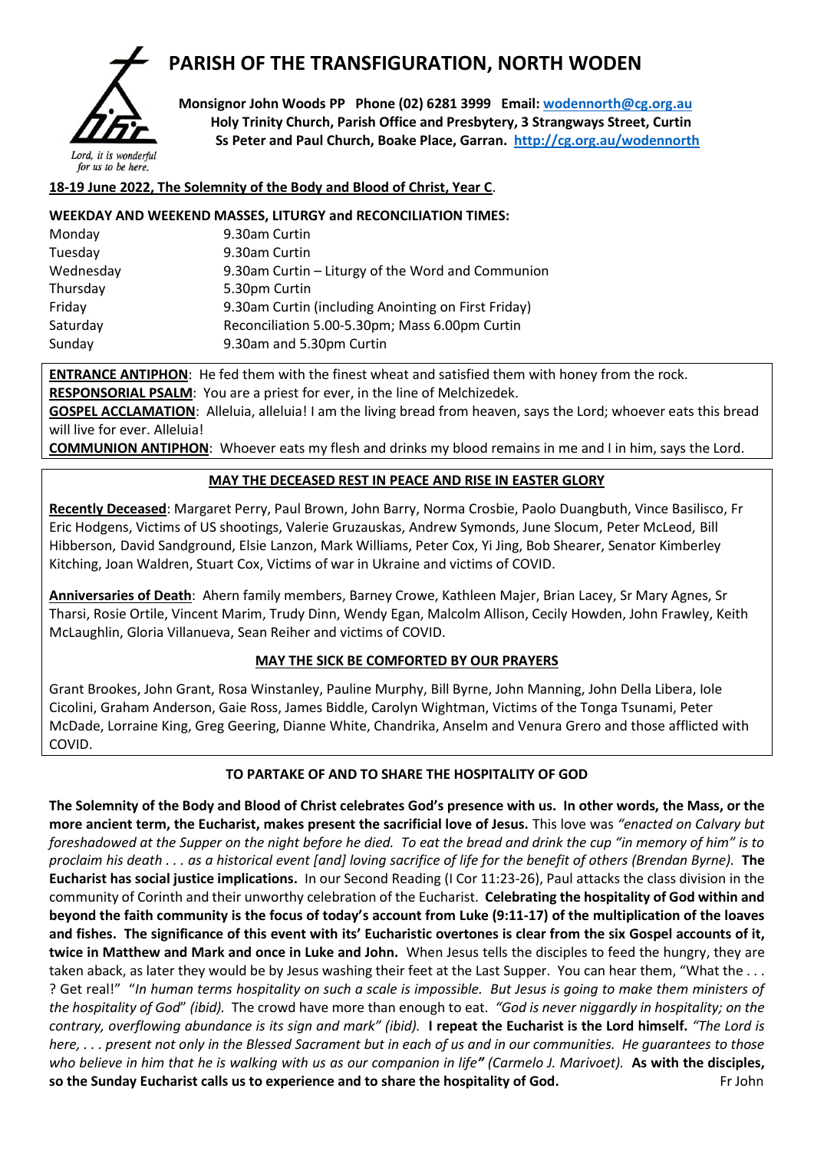

# **PARISH OF THE TRANSFIGURATION, NORTH WODEN**

 **Monsignor John Woods PP Phone (02) 6281 3999 Email: [wodennorth@cg.org.au](mailto:wodennorth@cg.org.au) Holy Trinity Church, Parish Office and Presbytery, 3 Strangways Street, Curtin Ss Peter and Paul Church, Boake Place, Garran. <http://cg.org.au/wodennorth>**

## **18-19 June 2022, The Solemnity of the Body and Blood of Christ, Year C**.

## **WEEKDAY AND WEEKEND MASSES, LITURGY and RECONCILIATION TIMES:**

| 9.30am Curtin                                       |  |  |
|-----------------------------------------------------|--|--|
| 9.30am Curtin                                       |  |  |
| 9.30am Curtin – Liturgy of the Word and Communion   |  |  |
| 5.30pm Curtin                                       |  |  |
| 9.30am Curtin (including Anointing on First Friday) |  |  |
| Reconciliation 5.00-5.30pm; Mass 6.00pm Curtin      |  |  |
| 9.30am and 5.30pm Curtin                            |  |  |
|                                                     |  |  |

**ENTRANCE ANTIPHON**: He fed them with the finest wheat and satisfied them with honey from the rock. **RESPONSORIAL PSALM**: You are a priest for ever, in the line of Melchizedek.

**GOSPEL ACCLAMATION**: Alleluia, alleluia! I am the living bread from heaven, says the Lord; whoever eats this bread will live for ever. Alleluia!

**COMMUNION ANTIPHON**: Whoever eats my flesh and drinks my blood remains in me and I in him, says the Lord.

## **MAY THE DECEASED REST IN PEACE AND RISE IN EASTER GLORY**

**Recently Deceased**: Margaret Perry, Paul Brown, John Barry, Norma Crosbie, Paolo Duangbuth, Vince Basilisco, Fr Eric Hodgens, Victims of US shootings, Valerie Gruzauskas, Andrew Symonds, June Slocum, Peter McLeod, Bill Hibberson, David Sandground, Elsie Lanzon, Mark Williams, Peter Cox, Yi Jing, Bob Shearer, Senator Kimberley Kitching, Joan Waldren, Stuart Cox, Victims of war in Ukraine and victims of COVID.

**Anniversaries of Death**: Ahern family members, Barney Crowe, Kathleen Majer, Brian Lacey, Sr Mary Agnes, Sr Tharsi, Rosie Ortile, Vincent Marim, Trudy Dinn, Wendy Egan, Malcolm Allison, Cecily Howden, John Frawley, Keith McLaughlin, Gloria Villanueva, Sean Reiher and victims of COVID.

## **MAY THE SICK BE COMFORTED BY OUR PRAYERS**

Grant Brookes, John Grant, Rosa Winstanley, Pauline Murphy, Bill Byrne, John Manning, John Della Libera, Iole Cicolini, Graham Anderson, Gaie Ross, James Biddle, Carolyn Wightman, Victims of the Tonga Tsunami, Peter McDade, Lorraine King, Greg Geering, Dianne White, Chandrika, Anselm and Venura Grero and those afflicted with COVID.

## **TO PARTAKE OF AND TO SHARE THE HOSPITALITY OF GOD**

**The Solemnity of the Body and Blood of Christ celebrates God's presence with us. In other words, the Mass, or the more ancient term, the Eucharist, makes present the sacrificial love of Jesus.** This love was *"enacted on Calvary but foreshadowed at the Supper on the night before he died. To eat the bread and drink the cup "in memory of him" is to proclaim his death . . . as a historical event [and] loving sacrifice of life for the benefit of others (Brendan Byrne).* **The Eucharist has social justice implications.** In our Second Reading (I Cor 11:23-26), Paul attacks the class division in the community of Corinth and their unworthy celebration of the Eucharist. **Celebrating the hospitality of God within and beyond the faith community is the focus of today's account from Luke (9:11-17) of the multiplication of the loaves and fishes. The significance of this event with its' Eucharistic overtones is clear from the six Gospel accounts of it, twice in Matthew and Mark and once in Luke and John.** When Jesus tells the disciples to feed the hungry, they are taken aback, as later they would be by Jesus washing their feet at the Last Supper. You can hear them, "What the ... ? Get real!" "*In human terms hospitality on such a scale is impossible. But Jesus is going to make them ministers of the hospitality of God*" *(ibid).* The crowd have more than enough to eat. *"God is never niggardly in hospitality; on the contrary, overflowing abundance is its sign and mark" (ibid).* **I repeat the Eucharist is the Lord himself.** *"The Lord is here, . . . present not only in the Blessed Sacrament but in each of us and in our communities. He guarantees to those who believe in him that he is walking with us as our companion in life" (Carmelo J. Marivoet).* **As with the disciples, so the Sunday Eucharist calls us to experience and to share the hospitality of God.** Frience and to share the hospitality of God.